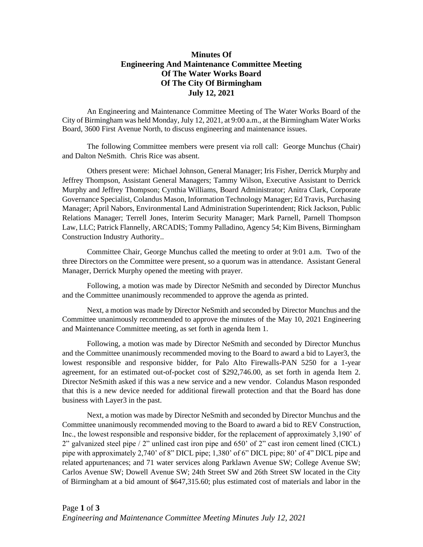## **Minutes Of Engineering And Maintenance Committee Meeting Of The Water Works Board Of The City Of Birmingham July 12, 2021**

An Engineering and Maintenance Committee Meeting of The Water Works Board of the City of Birmingham was held Monday,July 12, 2021, at 9:00 a.m., at the Birmingham Water Works Board, 3600 First Avenue North, to discuss engineering and maintenance issues.

The following Committee members were present via roll call: George Munchus (Chair) and Dalton NeSmith. Chris Rice was absent.

Others present were: Michael Johnson, General Manager; Iris Fisher, Derrick Murphy and Jeffrey Thompson, Assistant General Managers; Tammy Wilson, Executive Assistant to Derrick Murphy and Jeffrey Thompson; Cynthia Williams, Board Administrator; Anitra Clark, Corporate Governance Specialist, Colandus Mason, Information Technology Manager; Ed Travis, Purchasing Manager; April Nabors, Environmental Land Administration Superintendent; Rick Jackson, Public Relations Manager; Terrell Jones, Interim Security Manager; Mark Parnell, Parnell Thompson Law, LLC; Patrick Flannelly, ARCADIS; Tommy Palladino, Agency 54; Kim Bivens, Birmingham Construction Industry Authority..

Committee Chair, George Munchus called the meeting to order at 9:01 a.m. Two of the three Directors on the Committee were present, so a quorum was in attendance. Assistant General Manager, Derrick Murphy opened the meeting with prayer.

Following, a motion was made by Director NeSmith and seconded by Director Munchus and the Committee unanimously recommended to approve the agenda as printed.

Next, a motion was made by Director NeSmith and seconded by Director Munchus and the Committee unanimously recommended to approve the minutes of the May 10, 2021 Engineering and Maintenance Committee meeting, as set forth in agenda Item 1.

Following, a motion was made by Director NeSmith and seconded by Director Munchus and the Committee unanimously recommended moving to the Board to award a bid to Layer3, the lowest responsible and responsive bidder, for Palo Alto Firewalls-PAN 5250 for a 1-year agreement, for an estimated out-of-pocket cost of \$292,746.00, as set forth in agenda Item 2. Director NeSmith asked if this was a new service and a new vendor. Colandus Mason responded that this is a new device needed for additional firewall protection and that the Board has done business with Layer3 in the past.

Next, a motion was made by Director NeSmith and seconded by Director Munchus and the Committee unanimously recommended moving to the Board to award a bid to REV Construction, Inc., the lowest responsible and responsive bidder, for the replacement of approximately 3,190' of 2" galvanized steel pipe / 2" unlined cast iron pipe and 650' of 2" cast iron cement lined (CICL) pipe with approximately 2,740' of 8" DICL pipe; 1,380' of 6" DICL pipe; 80' of 4" DICL pipe and related appurtenances; and 71 water services along Parklawn Avenue SW; College Avenue SW; Carlos Avenue SW; Dowell Avenue SW; 24th Street SW and 26th Street SW located in the City of Birmingham at a bid amount of \$647,315.60; plus estimated cost of materials and labor in the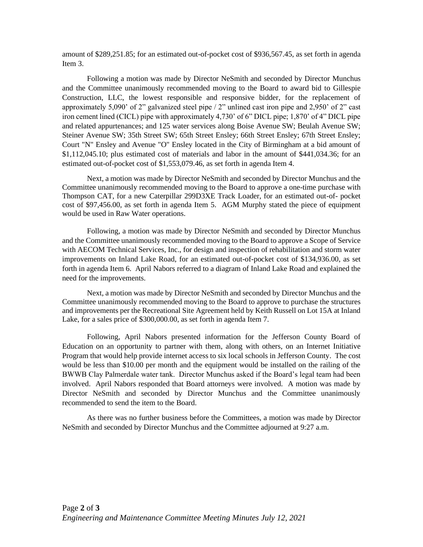amount of \$289,251.85; for an estimated out-of-pocket cost of \$936,567.45, as set forth in agenda Item 3.

Following a motion was made by Director NeSmith and seconded by Director Munchus and the Committee unanimously recommended moving to the Board to award bid to Gillespie Construction, LLC, the lowest responsible and responsive bidder, for the replacement of approximately 5,090' of 2" galvanized steel pipe  $/2$ " unlined cast iron pipe and 2,950' of 2" cast iron cement lined (CICL) pipe with approximately 4,730' of 6" DICL pipe; 1,870' of 4" DICL pipe and related appurtenances; and 125 water services along Boise Avenue SW; Beulah Avenue SW; Steiner Avenue SW; 35th Street SW; 65th Street Ensley; 66th Street Ensley; 67th Street Ensley; Court "N" Ensley and Avenue "O" Ensley located in the City of Birmingham at a bid amount of \$1,112,045.10; plus estimated cost of materials and labor in the amount of \$441,034.36; for an estimated out-of-pocket cost of \$1,553,079.46, as set forth in agenda Item 4.

Next, a motion was made by Director NeSmith and seconded by Director Munchus and the Committee unanimously recommended moving to the Board to approve a one-time purchase with Thompson CAT, for a new Caterpillar 299D3XE Track Loader, for an estimated out-of- pocket cost of \$97,456.00, as set forth in agenda Item 5. AGM Murphy stated the piece of equipment would be used in Raw Water operations.

Following, a motion was made by Director NeSmith and seconded by Director Munchus and the Committee unanimously recommended moving to the Board to approve a Scope of Service with AECOM Technical Services, Inc., for design and inspection of rehabilitation and storm water improvements on Inland Lake Road, for an estimated out-of-pocket cost of \$134,936.00, as set forth in agenda Item 6. April Nabors referred to a diagram of Inland Lake Road and explained the need for the improvements.

Next, a motion was made by Director NeSmith and seconded by Director Munchus and the Committee unanimously recommended moving to the Board to approve to purchase the structures and improvements per the Recreational Site Agreement held by Keith Russell on Lot 15A at Inland Lake, for a sales price of \$300,000.00, as set forth in agenda Item 7.

Following, April Nabors presented information for the Jefferson County Board of Education on an opportunity to partner with them, along with others, on an Internet Initiative Program that would help provide internet access to six local schools in Jefferson County. The cost would be less than \$10.00 per month and the equipment would be installed on the railing of the BWWB Clay Palmerdale water tank. Director Munchus asked if the Board's legal team had been involved. April Nabors responded that Board attorneys were involved. A motion was made by Director NeSmith and seconded by Director Munchus and the Committee unanimously recommended to send the item to the Board.

As there was no further business before the Committees, a motion was made by Director NeSmith and seconded by Director Munchus and the Committee adjourned at 9:27 a.m.